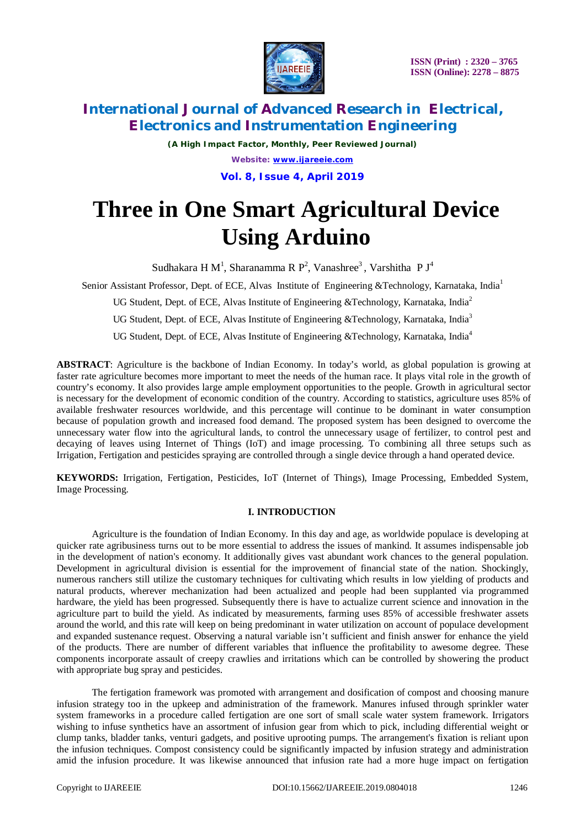

*(A High Impact Factor, Monthly, Peer Reviewed Journal) Website: [www.ijareeie.com](http://www.ijareeie.com)* **Vol. 8, Issue 4, April 2019**

# **Three in One Smart Agricultural Device Using Arduino**

Sudhakara H $M^1$ , Sharanamma R $P^2$ , Vanashree<sup>3</sup>, Varshitha P $J^4$ 

Senior Assistant Professor, Dept. of ECE, Alvas Institute of Engineering &Technology, Karnataka, India<sup>1</sup>

UG Student, Dept. of ECE, Alvas Institute of Engineering &Technology, Karnataka, India<sup>2</sup>

UG Student, Dept. of ECE, Alvas Institute of Engineering &Technology, Karnataka, India<sup>3</sup>

UG Student, Dept. of ECE, Alvas Institute of Engineering &Technology, Karnataka, India<sup>4</sup>

**ABSTRACT**: Agriculture is the backbone of Indian Economy. In today's world, as global population is growing at faster rate agriculture becomes more important to meet the needs of the human race. It plays vital role in the growth of country's economy. It also provides large ample employment opportunities to the people. Growth in agricultural sector is necessary for the development of economic condition of the country. According to statistics, agriculture uses 85% of available freshwater resources worldwide, and this percentage will continue to be dominant in water consumption because of population growth and increased food demand. The proposed system has been designed to overcome the unnecessary water flow into the agricultural lands, to control the unnecessary usage of fertilizer, to control pest and decaying of leaves using Internet of Things (IoT) and image processing. To combining all three setups such as Irrigation, Fertigation and pesticides spraying are controlled through a single device through a hand operated device.

**KEYWORDS:** Irrigation, Fertigation, Pesticides, IoT (Internet of Things), Image Processing, Embedded System, Image Processing.

## **I. INTRODUCTION**

Agriculture is the foundation of Indian Economy. In this day and age, as worldwide populace is developing at quicker rate agribusiness turns out to be more essential to address the issues of mankind. It assumes indispensable job in the development of nation's economy. It additionally gives vast abundant work chances to the general population. Development in agricultural division is essential for the improvement of financial state of the nation. Shockingly, numerous ranchers still utilize the customary techniques for cultivating which results in low yielding of products and natural products, wherever mechanization had been actualized and people had been supplanted via programmed hardware, the yield has been progressed. Subsequently there is have to actualize current science and innovation in the agriculture part to build the yield. As indicated by measurements, farming uses 85% of accessible freshwater assets around the world, and this rate will keep on being predominant in water utilization on account of populace development and expanded sustenance request. Observing a natural variable isn't sufficient and finish answer for enhance the yield of the products. There are number of different variables that influence the profitability to awesome degree. These components incorporate assault of creepy crawlies and irritations which can be controlled by showering the product with appropriate bug spray and pesticides.

The fertigation framework was promoted with arrangement and dosification of compost and choosing manure infusion strategy too in the upkeep and administration of the framework. Manures infused through sprinkler water system frameworks in a procedure called fertigation are one sort of small scale water system framework. Irrigators wishing to infuse synthetics have an assortment of infusion gear from which to pick, including differential weight or clump tanks, bladder tanks, venturi gadgets, and positive uprooting pumps. The arrangement's fixation is reliant upon the infusion techniques. Compost consistency could be significantly impacted by infusion strategy and administration amid the infusion procedure. It was likewise announced that infusion rate had a more huge impact on fertigation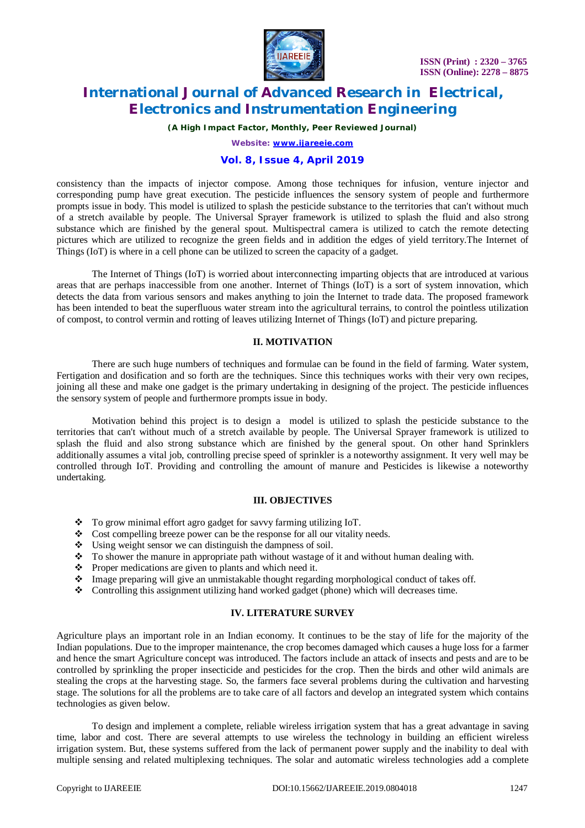

*(A High Impact Factor, Monthly, Peer Reviewed Journal)*

*Website: [www.ijareeie.com](http://www.ijareeie.com)*

## **Vol. 8, Issue 4, April 2019**

consistency than the impacts of injector compose. Among those techniques for infusion, venture injector and corresponding pump have great execution. The pesticide influences the sensory system of people and furthermore prompts issue in body. This model is utilized to splash the pesticide substance to the territories that can't without much of a stretch available by people. The Universal Sprayer framework is utilized to splash the fluid and also strong substance which are finished by the general spout. Multispectral camera is utilized to catch the remote detecting pictures which are utilized to recognize the green fields and in addition the edges of yield territory.The Internet of Things (IoT) is where in a cell phone can be utilized to screen the capacity of a gadget.

The Internet of Things (IoT) is worried about interconnecting imparting objects that are introduced at various areas that are perhaps inaccessible from one another. Internet of Things (IoT) is a sort of system innovation, which detects the data from various sensors and makes anything to join the Internet to trade data. The proposed framework has been intended to beat the superfluous water stream into the agricultural terrains, to control the pointless utilization of compost, to control vermin and rotting of leaves utilizing Internet of Things (IoT) and picture preparing.

#### **II. MOTIVATION**

There are such huge numbers of techniques and formulae can be found in the field of farming. Water system, Fertigation and dosification and so forth are the techniques. Since this techniques works with their very own recipes, joining all these and make one gadget is the primary undertaking in designing of the project. The pesticide influences the sensory system of people and furthermore prompts issue in body.

Motivation behind this project is to design a model is utilized to splash the pesticide substance to the territories that can't without much of a stretch available by people. The Universal Sprayer framework is utilized to splash the fluid and also strong substance which are finished by the general spout. On other hand Sprinklers additionally assumes a vital job, controlling precise speed of sprinkler is a noteworthy assignment. It very well may be controlled through IoT. Providing and controlling the amount of manure and Pesticides is likewise a noteworthy undertaking.

#### **III. OBJECTIVES**

- \* To grow minimal effort agro gadget for savvy farming utilizing IoT.
- Cost compelling breeze power can be the response for all our vitality needs.
- $\bullet$  Using weight sensor we can distinguish the dampness of soil.
- $\bullet$  To shower the manure in appropriate path without wastage of it and without human dealing with.<br>
Proper medications are given to plants and which need it.
- Proper medications are given to plants and which need it.<br>• Image preparing will give an unmistakable thought regard
- Image preparing will give an unmistakable thought regarding morphological conduct of takes off.<br>Controlling this assignment utilizing hand worked gadget (phone) which will decreases time
- Controlling this assignment utilizing hand worked gadget (phone) which will decreases time.

#### **IV. LITERATURE SURVEY**

Agriculture plays an important role in an Indian economy. It continues to be the stay of life for the majority of the Indian populations. Due to the improper maintenance, the crop becomes damaged which causes a huge loss for a farmer and hence the smart Agriculture concept was introduced. The factors include an attack of insects and pests and are to be controlled by sprinkling the proper insecticide and pesticides for the crop. Then the birds and other wild animals are stealing the crops at the harvesting stage. So, the farmers face several problems during the cultivation and harvesting stage. The solutions for all the problems are to take care of all factors and develop an integrated system which contains technologies as given below.

To design and implement a complete, reliable wireless irrigation system that has a great advantage in saving time, labor and cost. There are several attempts to use wireless the technology in building an efficient wireless irrigation system. But, these systems suffered from the lack of permanent power supply and the inability to deal with multiple sensing and related multiplexing techniques. The solar and automatic wireless technologies add a complete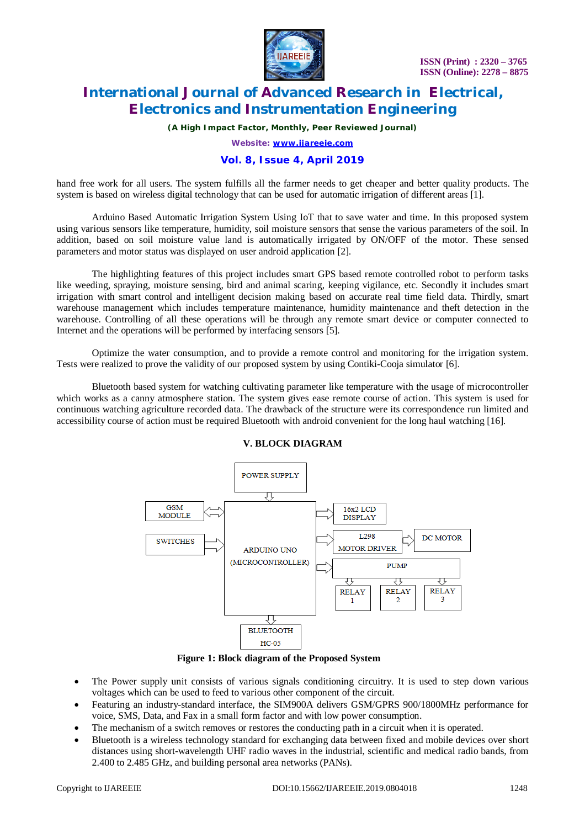

*(A High Impact Factor, Monthly, Peer Reviewed Journal)*

*Website: [www.ijareeie.com](http://www.ijareeie.com)*

### **Vol. 8, Issue 4, April 2019**

hand free work for all users. The system fulfills all the farmer needs to get cheaper and better quality products. The system is based on wireless digital technology that can be used for automatic irrigation of different areas [1].

Arduino Based Automatic Irrigation System Using IoT that to save water and time. In this proposed system using various sensors like temperature, humidity, soil moisture sensors that sense the various parameters of the soil. In addition, based on soil moisture value land is automatically irrigated by ON/OFF of the motor. These sensed parameters and motor status was displayed on user android application [2].

The highlighting features of this project includes smart GPS based remote controlled robot to perform tasks like weeding, spraying, moisture sensing, bird and animal scaring, keeping vigilance, etc. Secondly it includes smart irrigation with smart control and intelligent decision making based on accurate real time field data. Thirdly, smart warehouse management which includes temperature maintenance, humidity maintenance and theft detection in the warehouse. Controlling of all these operations will be through any remote smart device or computer connected to Internet and the operations will be performed by interfacing sensors [5].

Optimize the water consumption, and to provide a remote control and monitoring for the irrigation system. Tests were realized to prove the validity of our proposed system by using Contiki-Cooja simulator [6].

Bluetooth based system for watching cultivating parameter like temperature with the usage of microcontroller which works as a canny atmosphere station. The system gives ease remote course of action. This system is used for continuous watching agriculture recorded data. The drawback of the structure were its correspondence run limited and accessibility course of action must be required Bluetooth with android convenient for the long haul watching [16].



### **V. BLOCK DIAGRAM**

**Figure 1: Block diagram of the Proposed System**

- The Power supply unit consists of various signals conditioning circuitry. It is used to step down various voltages which can be used to feed to various other component of the circuit.
- Featuring an industry-standard interface, the SIM900A delivers GSM/GPRS 900/1800MHz performance for voice, SMS, Data, and Fax in a small form factor and with low power consumption.
- The mechanism of a switch removes or restores the conducting path in a circuit when it is operated.
- Bluetooth is a wireless technology standard for exchanging data between fixed and mobile devices over short distances using short-wavelength UHF radio waves in the industrial, scientific and medical radio bands, from 2.400 to 2.485 GHz, and building personal area networks (PANs).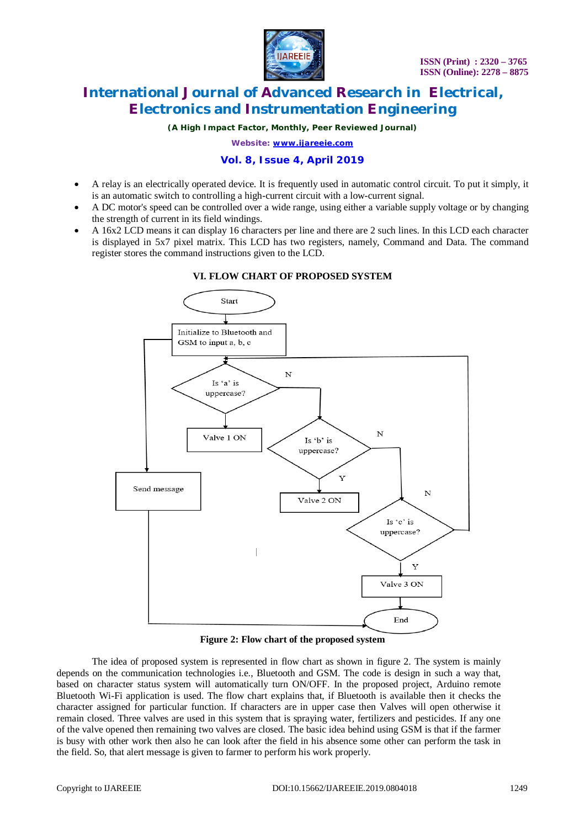

*(A High Impact Factor, Monthly, Peer Reviewed Journal)*

*Website: [www.ijareeie.com](http://www.ijareeie.com)*

### **Vol. 8, Issue 4, April 2019**

- A relay is an electrically operated device. It is frequently used in automatic control circuit. To put it simply, it is an automatic switch to controlling a high-current circuit with a low-current signal.
- A DC motor's speed can be controlled over a wide range, using either a variable supply voltage or by changing the strength of current in its field windings.
- A 16x2 LCD means it can display 16 characters per line and there are 2 such lines. In this LCD each character is displayed in 5x7 pixel matrix. This LCD has two registers, namely, Command and Data. The command register stores the command instructions given to the LCD.



### **VI. FLOW CHART OF PROPOSED SYSTEM**

**Figure 2: Flow chart of the proposed system**

The idea of proposed system is represented in flow chart as shown in figure 2. The system is mainly depends on the communication technologies i.e., Bluetooth and GSM. The code is design in such a way that, based on character status system will automatically turn ON/OFF. In the proposed project, Arduino remote Bluetooth Wi-Fi application is used. The flow chart explains that, if Bluetooth is available then it checks the character assigned for particular function. If characters are in upper case then Valves will open otherwise it remain closed. Three valves are used in this system that is spraying water, fertilizers and pesticides. If any one of the valve opened then remaining two valves are closed. The basic idea behind using GSM is that if the farmer is busy with other work then also he can look after the field in his absence some other can perform the task in the field. So, that alert message is given to farmer to perform his work properly.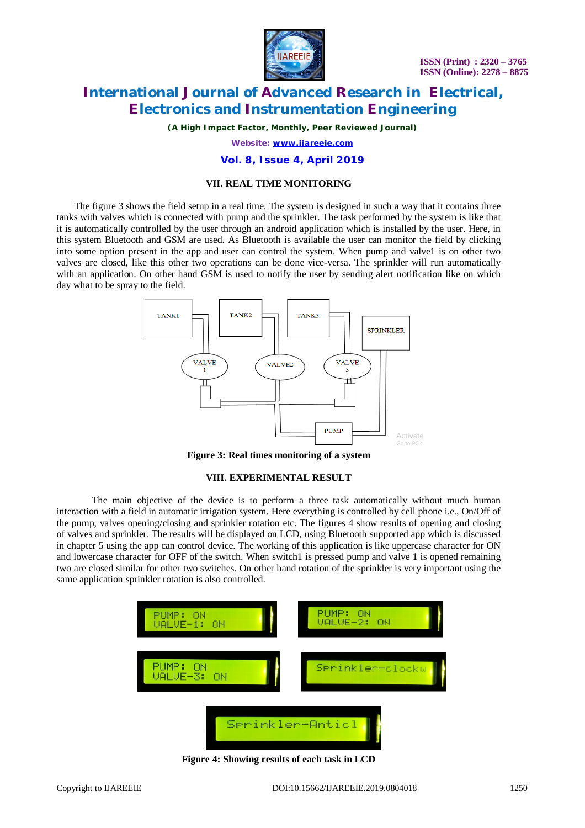

*(A High Impact Factor, Monthly, Peer Reviewed Journal)*

*Website: [www.ijareeie.com](http://www.ijareeie.com)*

#### **Vol. 8, Issue 4, April 2019**

### **VII. REAL TIME MONITORING**

The figure 3 shows the field setup in a real time. The system is designed in such a way that it contains three tanks with valves which is connected with pump and the sprinkler. The task performed by the system is like that it is automatically controlled by the user through an android application which is installed by the user. Here, in this system Bluetooth and GSM are used. As Bluetooth is available the user can monitor the field by clicking into some option present in the app and user can control the system. When pump and valve1 is on other two valves are closed, like this other two operations can be done vice-versa. The sprinkler will run automatically with an application. On other hand GSM is used to notify the user by sending alert notification like on which day what to be spray to the field.



**Figure 3: Real times monitoring of a system**

#### **VIII. EXPERIMENTAL RESULT**

The main objective of the device is to perform a three task automatically without much human interaction with a field in automatic irrigation system. Here everything is controlled by cell phone i.e., On/Off of the pump, valves opening/closing and sprinkler rotation etc. The figures 4 show results of opening and closing of valves and sprinkler. The results will be displayed on LCD, using Bluetooth supported app which is discussed in chapter 5 using the app can control device. The working of this application is like uppercase character for ON and lowercase character for OFF of the switch. When switch1 is pressed pump and valve 1 is opened remaining two are closed similar for other two switches. On other hand rotation of the sprinkler is very important using the same application sprinkler rotation is also controlled.



**Figure 4: Showing results of each task in LCD**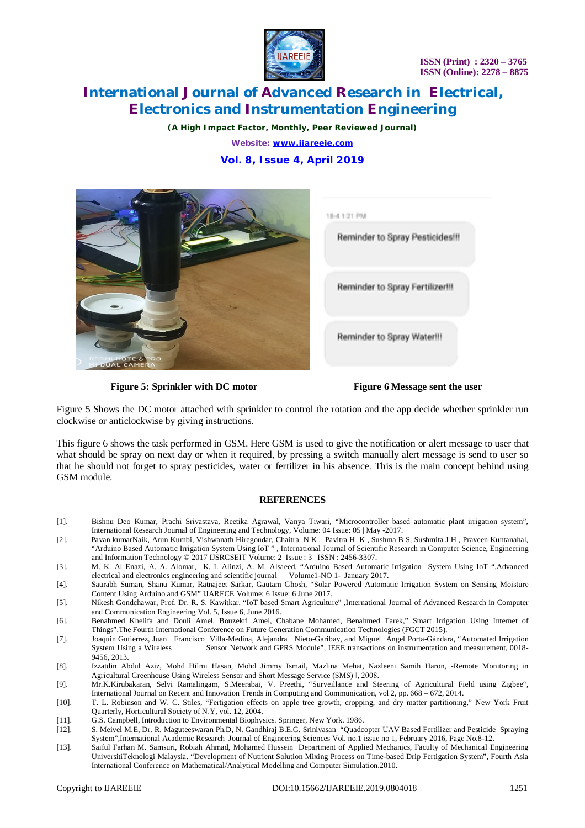

*(A High Impact Factor, Monthly, Peer Reviewed Journal)*

*Website: [www.ijareeie.com](http://www.ijareeie.com)*

## **Vol. 8, Issue 4, April 2019**





**Figure 5: Sprinkler with DC motor Figure 6 Message sent the user** 

Figure 5 Shows the DC motor attached with sprinkler to control the rotation and the app decide whether sprinkler run clockwise or anticlockwise by giving instructions.

This figure 6 shows the task performed in GSM. Here GSM is used to give the notification or alert message to user that what should be spray on next day or when it required, by pressing a switch manually alert message is send to user so that he should not forget to spray pesticides, water or fertilizer in his absence. This is the main concept behind using GSM module.

#### **REFERENCES**

- [1]. Bishnu Deo Kumar, Prachi Srivastava, Reetika Agrawal, Vanya Tiwari, "Microcontroller based automatic plant irrigation system", International Research Journal of Engineering and Technology, Volume: 04 Issue: 05 | May -2017.
- [2]. Pavan kumarNaik, Arun Kumbi, Vishwanath Hiregoudar, Chaitra N K , Pavitra H K , Sushma B S, Sushmita J H , Praveen Kuntanahal, "Arduino Based Automatic Irrigation System Using IoT " , International Journal of Scientific Research in Computer Science, Engineering and Information Technology © 2017 IJSRCSEIT Volume: 2 Issue : 3 | ISSN : 2456-3307.
- [3]. M. K. Al Enazi, A. A. Alomar, K. I. Alinzi, A. M. Alsaeed, "Arduino Based Automatic Irrigation System Using IoT ",Advanced electrical and electronics engineering and scientific journal Volume1-NO 1- January 2017.
- [4]. Saurabh Suman, Shanu Kumar, Ratnajeet Sarkar, Gautam Ghosh, "Solar Powered Automatic Irrigation System on Sensing Moisture Content Using Arduino and GSM" IJARECE Volume: 6 Issue: 6 June 2017.
- [5]. Nikesh Gondchawar, Prof. Dr. R. S. Kawitkar, "IoT based Smart Agriculture" ,International Journal of Advanced Research in Computer and Communication Engineering Vol. 5, Issue 6, June 2016.
- [6]. Benahmed Khelifa and Douli Amel, Bouzekri Amel, Chabane Mohamed, Benahmed Tarek," Smart Irrigation Using Internet of Things",The Fourth International Conference on Future Generation Communication Technologies (FGCT 2015).
- [7]. Joaquin Gutierrez, Juan Francisco Villa-Medina, Alejandra Nieto-Garibay, and Miguel Ángel Porta-Gándara, "Automated Irrigation System Using a Wireless Sensor Network and GPRS Module", IEEE transactions on instrumentation and measurement, 0018- 9456, 2013.
- [8]. Izzatdin Abdul Aziz, Mohd Hilmi Hasan, Mohd Jimmy Ismail, Mazlina Mehat, Nazleeni Samih Haron, -Remote Monitoring in Agricultural Greenhouse Using Wireless Sensor and Short Message Service (SMS) ‖, 2008.
- [9]. Mr.K.Kirubakaran, Selvi Ramalingam, S.Meerabai, V. Preethi, "Surveillance and Steering of Agricultural Field using Zigbee", International Journal on Recent and Innovation Trends in Computing and Communication, vol 2, pp. 668 – 672, 2014.
- [10]. T. L. Robinson and W. C. Stiles, "Fertigation effects on apple tree growth, cropping, and dry matter partitioning," New York Fruit Quarterly, Horticultural Society of N.Y, vol. 12, 2004.
- [11]. G.S. Campbell, Introduction to Environmental Biophysics. Springer, New York. 1986. [12]. S. Meivel M.E., Dr. R. Maguteeswaran Ph.D, N. Gandhiraj B.E.G. Srinivasan "Quadce
- [12]. S. Meivel M.E, Dr. R. Maguteeswaran Ph.D, N. Gandhiraj B.E,G. Srinivasan "Quadcopter UAV Based Fertilizer and Pesticide Spraying System",International Academic Research Journal of Engineering Sciences Vol. no.1 issue no 1, February 2016, Page No.8-12.
- [13]. Saiful Farhan M. Samsuri, Robiah Ahmad, Mohamed Hussein Department of Applied Mechanics, Faculty of Mechanical Engineering UniversitiTeknologi Malaysia. "Development of Nutrient Solution Mixing Process on Time-based Drip Fertigation System", Fourth Asia International Conference on Mathematical/Analytical Modelling and Computer Simulation.2010.